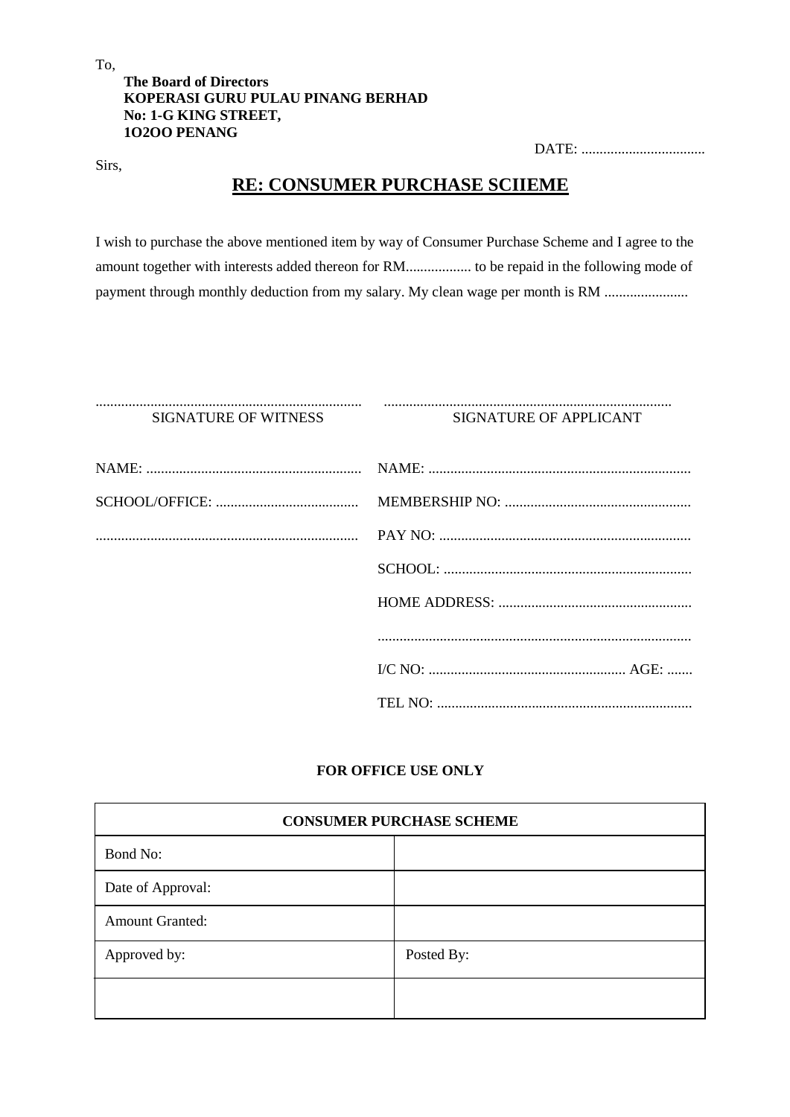# **The Board of Directors KOPERASI GURU PULAU PINANG BERHAD No: 1-G KING STREET, 1O2OO PENANG**

DATE: ..................................

# **RE: CONSUMER PURCHASE SCIIEME**

I wish to purchase the above mentioned item by way of Consumer Purchase Scheme and I agree to the amount together with interests added thereon for RM.................. to be repaid in the following mode of payment through monthly deduction from my salary. My clean wage per month is RM .............................

......................................................................... ...............................................................................

### SIGNATURE OF WITNESS SIGNATURE OF APPLICANT

# **FOR OFFICE USE ONLY**

| <b>CONSUMER PURCHASE SCHEME</b> |            |  |
|---------------------------------|------------|--|
| Bond No:                        |            |  |
| Date of Approval:               |            |  |
| <b>Amount Granted:</b>          |            |  |
| Approved by:                    | Posted By: |  |
|                                 |            |  |

To,

Sirs,